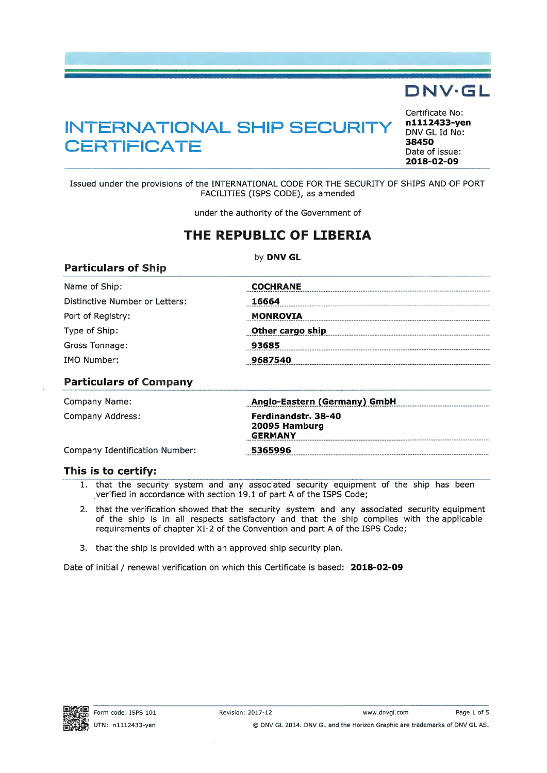## **DNV¯GL**

# **INTERNATIONAL SHIP SECURITY**  $\frac{n1112}{DNV GI}$ **CERTIFICATE <sup>38450</sup>**

Certificate No:<br>n1112433-ven DNV GL Id No: Date of issue: **2018-02-09**

Issued under the provisions of the INTERNATIONAL CODE FOR THE SECURITY OF SHIPS AND OF PORT FACILITIES (ISPS CODE), as amended

under the authority of the Government of

### **THE REPUBLIC OF LIBERIA**

by **DNV GL**

| <b>Particulars of Ship</b>     |                  |
|--------------------------------|------------------|
| Name of Ship:                  | <b>COCHRANE</b>  |
| Distinctive Number or Letters: | 16664            |
| Port of Registry:              | <b>MONROVIA</b>  |
| Type of Ship:                  | Other cargo ship |
| Gross Tonnage:                 | 93685            |
| <b>IMO Number:</b>             | 9687540          |
|                                |                  |

#### **Particulars of Company**

| Company Name:                  | Anglo-Eastern (Germany) GmbH                                  |
|--------------------------------|---------------------------------------------------------------|
| Company Address:               | <b>Ferdinandstr. 38-40</b><br>20095 Hamburg<br><b>GERMANY</b> |
| Company Identification Number: | 5365996                                                       |

#### **This is to certify:**

- 1. that the security system and any associated security equipment of the ship has been verified in accordance with section 19.1 of part A of the ISPS Code;
- 2. that the verification showed that the security system and any associated security equipment of the ship is in all respects satisfactory and that the ship complies with the applicable requirements of chapter XI-2 of the Convention and part A of the ISPS Code;
- 3. that the ship is provided with an approved ship security plan.

Date of initial **/** renewal verification on which this Certificate is based: **2018-02-09**